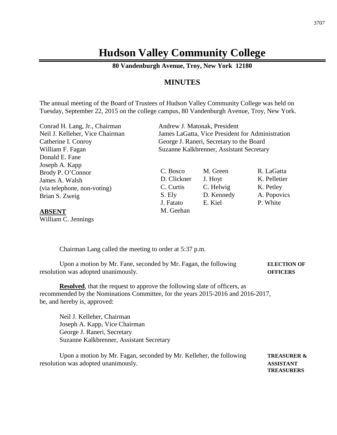## **Hudson Valley Community College**

**80 Vandenburgh Avenue, Troy, New York 12180**

## **MINUTES**

The annual meeting of the Board of Trustees of Hudson Valley Community College was held on Tuesday, September 22, 2015 on the college campus, 80 Vandenburgh Avenue, Troy, New York.

Conrad H. Lang, Jr., Chairman Andrew J. Matonak, President Donald E. Fane Joseph A. Kapp Brody P. O'Connor James A. Walsh (via telephone, non-voting) Brian S. Zweig

**ABSENT** William C. Jennings

Neil J. Kelleher, Vice Chairman James LaGatta, Vice President for Administration Catherine I. Conroy George J. Raneri, Secretary to the Board William F. Fagan Suzanne Kalkbrenner, Assistant Secretary

> C. Bosco M. Green R. LaGatta D. Clickner J. Hoyt K. Pelletier C. Curtis C. Helwig K. Petley S. Ely D. Kennedy A. Popovics J. Fatato E. Kiel P. White M. Geehan

Chairman Lang called the meeting to order at 5:37 p.m.

Upon a motion by Mr. Fane, seconded by Mr. Fagan, the following **ELECTION OF** resolution was adopted unanimously. **OFFICERS**

**Resolved**, that the request to approve the following slate of officers, as recommended by the Nominations Committee, for the years 2015-2016 and 2016-2017, be, and hereby is, approved:

Neil J. Kelleher, Chairman Joseph A. Kapp, Vice Chairman George J. Raneri, Secretary Suzanne Kalkbrenner, Assistant Secretary

Upon a motion by Mr. Fagan, seconded by Mr. Kelleher, the following **TREASURER &** resolution was adopted unanimously. **ASSISTANT**

**TREASURERS**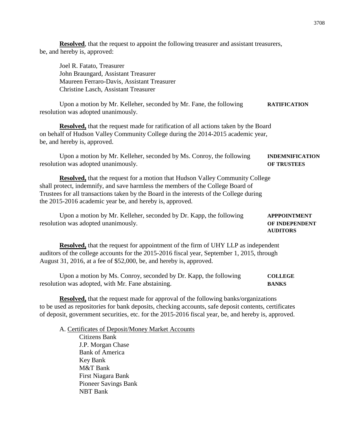**Resolved**, that the request to appoint the following treasurer and assistant treasurers, be, and hereby is, approved:

Joel R. Fatato, Treasurer John Braungard, Assistant Treasurer Maureen Ferraro-Davis, Assistant Treasurer Christine Lasch, Assistant Treasurer

Upon a motion by Mr. Kelleher, seconded by Mr. Fane, the following **RATIFICATION** resolution was adopted unanimously.

**Resolved,** that the request made for ratification of all actions taken by the Board on behalf of Hudson Valley Community College during the 2014-2015 academic year, be, and hereby is, approved.

Upon a motion by Mr. Kelleher, seconded by Ms. Conroy, the following **INDEMNIFICATION** resolution was adopted unanimously. **OF TRUSTEES**

**Resolved,** that the request for a motion that Hudson Valley Community College shall protect, indemnify, and save harmless the members of the College Board of Trustees for all transactions taken by the Board in the interests of the College during the 2015-2016 academic year be, and hereby is, approved.

| Upon a motion by Mr. Kelleher, seconded by Dr. Kapp, the following | <b>APPPOINTMENT</b>   |
|--------------------------------------------------------------------|-----------------------|
| resolution was adopted unanimously.                                | <b>OF INDEPENDENT</b> |

**AUDITORS**

**Resolved,** that the request for appointment of the firm of UHY LLP as independent auditors of the college accounts for the 2015-2016 fiscal year, September 1, 2015, through August 31, 2016, at a fee of \$52,000, be, and hereby is, approved.

Upon a motion by Ms. Conroy, seconded by Dr. Kapp, the following **COLLEGE** resolution was adopted, with Mr. Fane abstaining. **BANKS**

**Resolved,** that the request made for approval of the following banks/organizations to be used as repositories for bank deposits, checking accounts, safe deposit contents, certificates of deposit, government securities, etc. for the 2015-2016 fiscal year, be, and hereby is, approved.

A. Certificates of Deposit/Money Market Accounts Citizens Bank J.P. Morgan Chase Bank of America Key Bank M&T Bank First Niagara Bank Pioneer Savings Bank NBT Bank